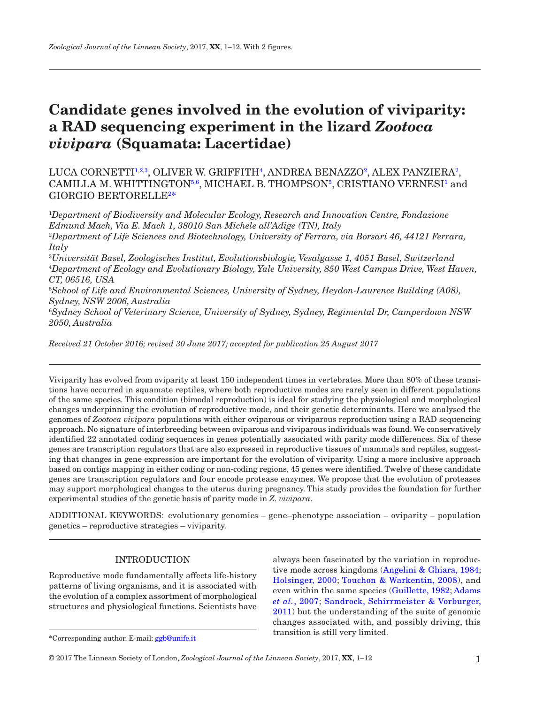# **Candidate genes involved in the evolution of viviparity: a RAD sequencing experiment in the lizard** *Zootoca vivipara* **(Squamata: Lacertidae)**

LUCA CORNETTI<sup>[1](#page-0-0)[,2,](#page-0-1)[3](#page-0-2)</sup>, OLIVER W. GRIFFITH<sup>4</sup>, ANDREA BENAZZO<sup>[2](#page-0-1)</sup>, ALEX PANZIERA<sup>2</sup>, CAMILLA M. WHITTINGTO[N5,](#page-0-4)[6](#page-0-5), MICHAEL B. THOMPSO[N5](#page-0-4), CRISTIANO VERNESI<sup>[1](#page-0-0)</sup> and GIORGIO BERTORELLE[2](#page-0-1) [\\*](#page-0-1)

<span id="page-0-0"></span>1 *Department of Biodiversity and Molecular Ecology, Research and Innovation Centre, Fondazione Edmund Mach, Via E. Mach 1, 38010 San Michele all'Adige (TN), Italy*

<span id="page-0-1"></span>2 *Department of Life Sciences and Biotechnology, University of Ferrara, via Borsari 46, 44121 Ferrara, Italy*

<span id="page-0-3"></span><span id="page-0-2"></span>3 *Universität Basel, Zoologisches Institut, Evolutionsbiologie, Vesalgasse 1, 4051 Basel, Switzerland* 4 *Department of Ecology and Evolutionary Biology, Yale University, 850 West Campus Drive, West Haven, CT, 06516, USA*

<span id="page-0-4"></span>5 *School of Life and Environmental Sciences, University of Sydney, Heydon-Laurence Building (A08), Sydney, NSW 2006, Australia*

<span id="page-0-5"></span>6 *Sydney School of Veterinary Science, University of Sydney, Sydney, Regimental Dr, Camperdown NSW 2050, Australia*

*Received 21 October 2016; revised 30 June 2017; accepted for publication 25 August 2017*

Viviparity has evolved from oviparity at least 150 independent times in vertebrates. More than 80% of these transitions have occurred in squamate reptiles, where both reproductive modes are rarely seen in different populations of the same species. This condition (bimodal reproduction) is ideal for studying the physiological and morphological changes underpinning the evolution of reproductive mode, and their genetic determinants. Here we analysed the genomes of *Zootoca vivipara* populations with either oviparous or viviparous reproduction using a RAD sequencing approach. No signature of interbreeding between oviparous and viviparous individuals was found. We conservatively identified 22 annotated coding sequences in genes potentially associated with parity mode differences. Six of these genes are transcription regulators that are also expressed in reproductive tissues of mammals and reptiles, suggesting that changes in gene expression are important for the evolution of viviparity. Using a more inclusive approach based on contigs mapping in either coding or non-coding regions, 45 genes were identified. Twelve of these candidate genes are transcription regulators and four encode protease enzymes. We propose that the evolution of proteases may support morphological changes to the uterus during pregnancy. This study provides the foundation for further experimental studies of the genetic basis of parity mode in *Z. vivipara*.

ADDITIONAL KEYWORDS: evolutionary genomics – gene–phenotype association – oviparity – population genetics – reproductive strategies – viviparity.

# INTRODUCTION

Reproductive mode fundamentally affects life-history patterns of living organisms, and it is associated with the evolution of a complex assortment of morphological structures and physiological functions. Scientists have

always been fascinated by the variation in reproductive mode across kingdoms ([Angelini & Ghiara, 1984](#page-8-0); [Holsinger, 2000;](#page-9-0) [Touchon & Warkentin, 2008](#page-11-0)), and even within the same species ([Guillette, 1982;](#page-9-1) [Adams](#page-8-1) *et al.*[, 2007](#page-8-1); [Sandrock, Schirrmeister & Vorburger,](#page-10-0) [2011](#page-10-0)) but the understanding of the suite of genomic changes associated with, and possibly driving, this transition is still very limited. **\***Corresponding author. E-mail: [ggb@unife.it](mailto:ggb@unife.it?subject=)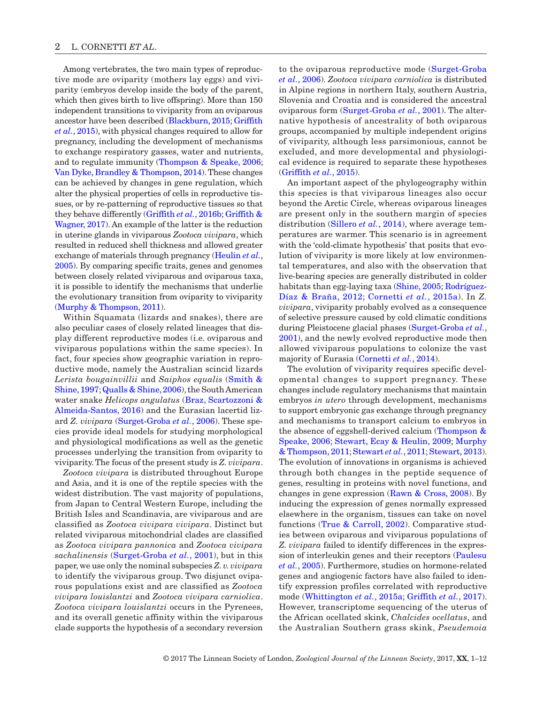Among vertebrates, the two main types of reproductive mode are oviparity (mothers lay eggs) and viviparity (embryos develop inside the body of the parent, which then gives birth to live offspring). More than 150 independent transitions to viviparity from an oviparous ancestor have been described [\(Blackburn, 2015;](#page-9-2) [Griffith](#page-9-3) *et al.*[, 2015\)](#page-9-3), with physical changes required to allow for pregnancy, including the development of mechanisms to exchange respiratory gasses, water and nutrients, and to regulate immunity [\(Thompson & Speake, 2006;](#page-11-1) [Van Dyke, Brandley & Thompson, 2014](#page-11-2)). These changes can be achieved by changes in gene regulation, which alter the physical properties of cells in reproductive tissues, or by re-patterning of reproductive tissues so that they behave differently [\(Griffith](#page-9-3) *et al.*, 2016b; [Griffith &](#page-9-4) [Wagner, 2017\)](#page-9-4). An example of the latter is the reduction in uterine glands in viviparous *Zootoca vivipara*, which resulted in reduced shell thickness and allowed greater exchange of materials through pregnancy ([Heulin](#page-9-5) *et al.*, [2005](#page-9-5)). By comparing specific traits, genes and genomes between closely related viviparous and oviparous taxa, it is possible to identify the mechanisms that underlie the evolutionary transition from oviparity to viviparity [\(Murphy & Thompson, 2011\)](#page-10-1).

Within Squamata (lizards and snakes), there are also peculiar cases of closely related lineages that display different reproductive modes (i.e. oviparous and viviparous populations within the same species). In fact, four species show geographic variation in reproductive mode, namely the Australian scincid lizards *Lerista bougainvillii* and *Saiphos equalis* ([Smith &](#page-10-2) [Shine, 1997;](#page-10-2) [Qualls & Shine, 2006\)](#page-10-3), the South American water snake *Helicops angulatus* ([Braz, Scartozzoni &](#page-9-6) [Almeida-Santos, 2016](#page-9-6)) and the Eurasian lacertid lizard *Z. vivipara* [\(Surget-Groba](#page-10-4) *et al.*, 2006). These species provide ideal models for studying morphological and physiological modifications as well as the genetic processes underlying the transition from oviparity to viviparity. The focus of the present study is *Z. vivipara*.

*Zootoca vivipara* is distributed throughout Europe and Asia, and it is one of the reptile species with the widest distribution. The vast majority of populations, from Japan to Central Western Europe, including the British Isles and Scandinavia, are viviparous and are classified as *Zootoca vivipara vivipara*. Distinct but related viviparous mitochondrial clades are classified as *Zootoca vivipara pannonica* and *Zootoca vivipara sachalinensis* [\(Surget-Groba](#page-11-3) *et al.*, 2001), but in this paper, we use only the nominal subspecies *Z. v. vivipara* to identify the viviparous group. Two disjunct oviparous populations exist and are classified as *Zootoca vivipara louislantzi* and *Zootoca vivipara carniolica*. *Zootoca vivipara louislantzi* occurs in the Pyrenees, and its overall genetic affinity within the viviparous clade supports the hypothesis of a secondary reversion to the oviparous reproductive mode ([Surget-Groba](#page-10-4)  *et al.*[, 2006\)](#page-10-4). *Zootoca vivipara carniolica* is distributed in Alpine regions in northern Italy, southern Austria, Slovenia and Croatia and is considered the ancestral oviparous form [\(Surget-Groba](#page-11-3) *et al.*, 2001). The alternative hypothesis of ancestrality of both oviparous groups, accompanied by multiple independent origins of viviparity, although less parsimonious, cannot be excluded, and more developmental and physiological evidence is required to separate these hypotheses [\(Griffith](#page-9-7) *et al.*, 2015).

An important aspect of the phylogeography within this species is that viviparous lineages also occur beyond the Arctic Circle, whereas oviparous lineages are present only in the southern margin of species distribution ([Sillero](#page-10-5) *et al.*, 2014), where average temperatures are warmer. This scenario is in agreement with the 'cold-climate hypothesis' that posits that evolution of viviparity is more likely at low environmental temperatures, and also with the observation that live-bearing species are generally distributed in colder habitats than egg-laying taxa ([Shine, 2005](#page-10-6); [Rodríguez-](#page-10-7)[Díaz & Braña, 2012](#page-10-7); [Cornetti](#page-9-8) *et al.*, 2015a). In *Z. vivipara*, viviparity probably evolved as a consequence of selective pressure caused by cold climatic conditions during Pleistocene glacial phases [\(Surget-Groba](#page-11-3) *et al.*, [2001\)](#page-11-3), and the newly evolved reproductive mode then allowed viviparous populations to colonize the vast majority of Eurasia ([Cornetti](#page-9-9) *et al.*, 2014).

The evolution of viviparity requires specific developmental changes to support pregnancy. These changes include regulatory mechanisms that maintain embryos *in utero* through development, mechanisms to support embryonic gas exchange through pregnancy and mechanisms to transport calcium to embryos in the absence of eggshell-derived calcium ([Thompson &](#page-11-1)  [Speake, 2006](#page-11-1); [Stewart, Ecay & Heulin, 2009](#page-10-8); [Murphy](#page-10-1)  [& Thompson, 2011](#page-10-1); [Stewart](#page-10-9) *et al.*, 2011; [Stewart, 2013\)](#page-10-10). The evolution of innovations in organisms is achieved through both changes in the peptide sequence of genes, resulting in proteins with novel functions, and changes in gene expression [\(Rawn & Cross, 2008\)](#page-10-11). By inducing the expression of genes normally expressed elsewhere in the organism, tissues can take on novel functions ([True & Carroll, 2002\)](#page-11-4). Comparative studies between oviparous and viviparous populations of *Z. vivipara* failed to identify differences in the expression of interleukin genes and their receptors ([Paulesu](#page-10-12)  *et al.*[, 2005](#page-10-12)). Furthermore, studies on hormone-related genes and angiogenic factors have also failed to identify expression profiles correlated with reproductive mode ([Whittington](#page-9-7) *et al.*, 2015a; [Griffith](#page-9-10) *et al.*, 2017). However, transcriptome sequencing of the uterus of the African ocellated skink, *Chalcides ocellatus*, and the Australian Southern grass skink, *Pseudemoia*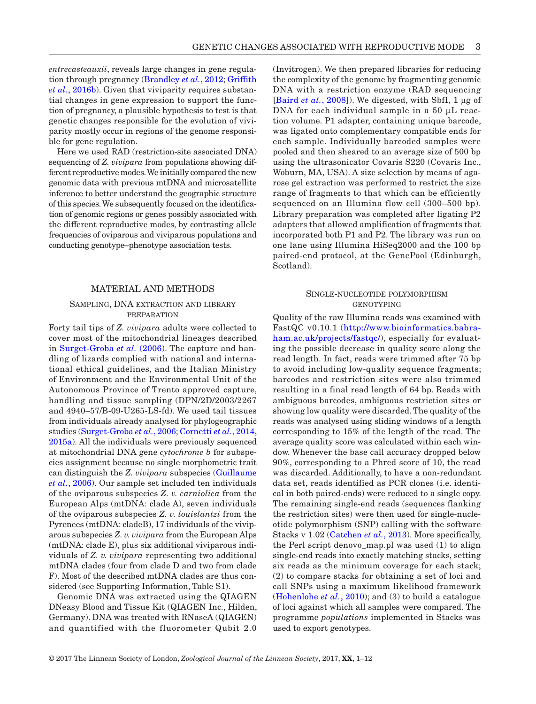*entrecasteauxii*, reveals large changes in gene regulation through pregnancy [\(Brandley](#page-9-11) *et al.*, 2012; [Griffith](#page-9-3) *et al.*[, 2016b\)](#page-9-3). Given that viviparity requires substantial changes in gene expression to support the function of pregnancy, a plausible hypothesis to test is that genetic changes responsible for the evolution of viviparity mostly occur in regions of the genome responsible for gene regulation.

Here we used RAD (restriction-site associated DNA) sequencing of *Z. vivipara* from populations showing different reproductive modes. We initially compared the new genomic data with previous mtDNA and microsatellite inference to better understand the geographic structure of this species. We subsequently focused on the identification of genomic regions or genes possibly associated with the different reproductive modes, by contrasting allele frequencies of oviparous and viviparous populations and conducting genotype–phenotype association tests.

#### MATERIAL AND METHODS

#### Sampling, DNA extraction and library **PREPARATION**

Forty tail tips of *Z. vivipara* adults were collected to cover most of the mitochondrial lineages described in [Surget-Groba](#page-10-4) *et al.* (2006). The capture and handling of lizards complied with national and international ethical guidelines, and the Italian Ministry of Environment and the Environmental Unit of the Autonomous Province of Trento approved capture, handling and tissue sampling (DPN/2D/2003/2267 and 4940–57/B-09-U265-LS-fd). We used tail tissues from individuals already analysed for phylogeographic studies [\(Surget-Groba](#page-10-4) *et al.*, 2006; [Cornetti](#page-9-9) *et al.*, 2014, [2015a](#page-9-8)). All the individuals were previously sequenced at mitochondrial DNA gene *cytochrome b* for subspecies assignment because no single morphometric trait can distinguish the *Z. vivipara* subspecies ([Guillaume](#page-9-12) *et al.*[, 2006\)](#page-9-12). Our sample set included ten individuals of the oviparous subspecies *Z. v. carniolica* from the European Alps (mtDNA: clade A), seven individuals of the oviparous subspecies *Z. v. louislantzi* from the Pyrenees (mtDNA: cladeB), 17 individuals of the viviparous subspecies *Z. v. vivipara* from the European Alps (mtDNA: clade E), plus six additional viviparous individuals of *Z. v. vivipara* representing two additional mtDNA clades (four from clade D and two from clade F). Most of the described mtDNA clades are thus considered (see Supporting Information, Table S1).

Genomic DNA was extracted using the QIAGEN DNeasy Blood and Tissue Kit (QIAGEN Inc., Hilden, Germany). DNA was treated with RNaseA (QIAGEN) and quantified with the fluorometer Qubit 2.0

(Invitrogen). We then prepared libraries for reducing the complexity of the genome by fragmenting genomic DNA with a restriction enzyme (RAD sequencing [[Baird](#page-9-13) *et al.*, 2008]). We digested, with SbfI, 1 μg of DNA for each individual sample in a 50 μL reaction volume. P1 adapter, containing unique barcode, was ligated onto complementary compatible ends for each sample. Individually barcoded samples were pooled and then sheared to an average size of 500 bp using the ultrasonicator Covaris S220 (Covaris Inc., Woburn, MA, USA). A size selection by means of agarose gel extraction was performed to restrict the size range of fragments to that which can be efficiently sequenced on an Illumina flow cell (300–500 bp). Library preparation was completed after ligating P2 adapters that allowed amplification of fragments that incorporated both P1 and P2. The library was run on one lane using Illumina HiSeq2000 and the 100 bp paired-end protocol, at the GenePool (Edinburgh, Scotland).

## Single-nucleotide polymorphism **GENOTYPING**

Quality of the raw Illumina reads was examined with FastQC v0.10.1 ([http://www.bioinformatics.babra](http://www.bioinformatics.babraham.ac.uk/projects/fastqc/)[ham.ac.uk/projects/fastqc/\)](http://www.bioinformatics.babraham.ac.uk/projects/fastqc/), especially for evaluating the possible decrease in quality score along the read length. In fact, reads were trimmed after 75 bp to avoid including low-quality sequence fragments; barcodes and restriction sites were also trimmed resulting in a final read length of 64 bp. Reads with ambiguous barcodes, ambiguous restriction sites or showing low quality were discarded. The quality of the reads was analysed using sliding windows of a length corresponding to 15% of the length of the read. The average quality score was calculated within each window. Whenever the base call accuracy dropped below 90%, corresponding to a Phred score of 10, the read was discarded. Additionally, to have a non-redundant data set, reads identified as PCR clones (i.e. identical in both paired-ends) were reduced to a single copy. The remaining single-end reads (sequences flanking the restriction sites) were then used for single-nucleotide polymorphism (SNP) calling with the software Stacks v 1.02 ([Catchen](#page-9-14) *et al.*, 2013). More specifically, the Perl script denovo\_map.pl was used (1) to align single-end reads into exactly matching stacks, setting six reads as the minimum coverage for each stack; (2) to compare stacks for obtaining a set of loci and call SNPs using a maximum likelihood framework [\(Hohenlohe](#page-9-15) *et al.*, 2010); and (3) to build a catalogue of loci against which all samples were compared. The programme *populations* implemented in Stacks was used to export genotypes.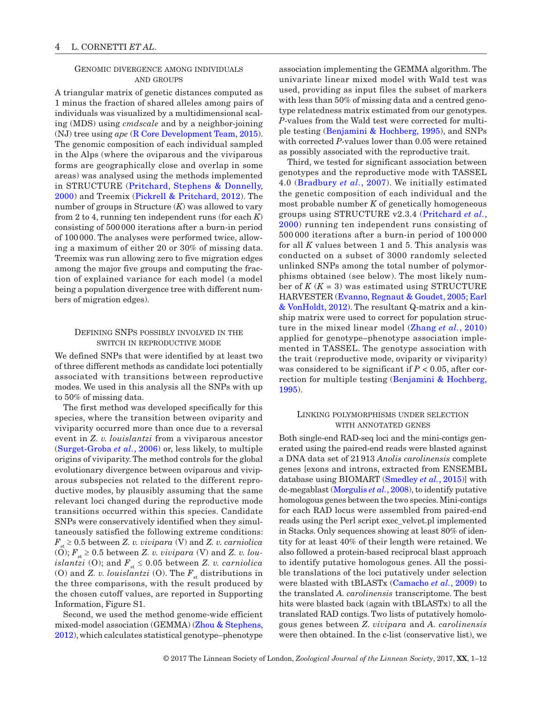# Genomic divergence among individuals and groups

A triangular matrix of genetic distances computed as 1 minus the fraction of shared alleles among pairs of individuals was visualized by a multidimensional scaling (MDS) using *cmdscale* and by a neighbor-joining (NJ) tree using *ape* ([R Core Development Team, 2015\)](#page-10-13). The genomic composition of each individual sampled in the Alps (where the oviparous and the viviparous forms are geographically close and overlap in some areas) was analysed using the methods implemented in STRUCTURE ([Pritchard, Stephens & Donnelly,](#page-10-14)  [2000](#page-10-14)) and Treemix [\(Pickrell & Pritchard, 2012](#page-10-15)). The number of groups in Structure (*K*) was allowed to vary from 2 to 4, running ten independent runs (for each *K*) consisting of 500 000 iterations after a burn-in period of 100000. The analyses were performed twice, allowing a maximum of either 20 or 30% of missing data. Treemix was run allowing zero to five migration edges among the major five groups and computing the fraction of explained variance for each model (a model being a population divergence tree with different numbers of migration edges).

## Defining SNPs possibly involved in the switch in reproductive mode

We defined SNPs that were identified by at least two of three different methods as candidate loci potentially associated with transitions between reproductive modes. We used in this analysis all the SNPs with up to 50% of missing data.

The first method was developed specifically for this species, where the transition between oviparity and viviparity occurred more than once due to a reversal event in *Z. v. louislantzi* from a viviparous ancestor [\(Surget-Groba](#page-10-4) *et al.*, 2006) or, less likely, to multiple origins of viviparity. The method controls for the global evolutionary divergence between oviparous and viviparous subspecies not related to the different reproductive modes, by plausibly assuming that the same relevant loci changed during the reproductive mode transitions occurred within this species. Candidate SNPs were conservatively identified when they simultaneously satisfied the following extreme conditions:  $F_{st} \geq 0.5$  between *Z. v. vivipara* (V) and *Z. v. carniolica* (O);  $F_{st} \geq 0.5$  between *Z. v. vivipara* (V) and *Z. v. louislantzi* (O); and  $F_{st} \leq 0.05$  between *Z. v. carniolica* (O) and *Z. v. louislantzi* (O). The  $F_{st}$  distributions in the three comparisons, with the result produced by the chosen cutoff values, are reported in Supporting Information, Figure S1.

Second, we used the method genome-wide efficient mixed-model association (GEMMA) ([Zhou & Stephens,](#page-11-5) [2012\)](#page-11-5), which calculates statistical genotype–phenotype association implementing the GEMMA algorithm. The univariate linear mixed model with Wald test was used, providing as input files the subset of markers with less than 50% of missing data and a centred genotype relatedness matrix estimated from our genotypes. *P*-values from the Wald test were corrected for multiple testing ([Benjamini & Hochberg, 1995](#page-9-16)), and SNPs with corrected *P*-values lower than 0.05 were retained as possibly associated with the reproductive trait.

Third, we tested for significant association between genotypes and the reproductive mode with TASSEL 4.0 ([Bradbury](#page-9-17) *et al.*, 2007). We initially estimated the genetic composition of each individual and the most probable number *K* of genetically homogeneous groups using STRUCTURE v2.3.4 ([Pritchard](#page-10-14) *et al.*, [2000\)](#page-10-14) running ten independent runs consisting of 500 000 iterations after a burn-in period of 100 000 for all *K* values between 1 and 5. This analysis was conducted on a subset of 3000 randomly selected unlinked SNPs among the total number of polymorphisms obtained (see below). The most likely number of  $K(K = 3)$  was estimated using STRUCTURE HARVESTER [\(Evanno, Regnaut & Goudet, 2005;](#page-9-18) [Earl](#page-9-19)  [& VonHoldt, 2012](#page-9-19)). The resultant Q-matrix and a kinship matrix were used to correct for population structure in the mixed linear model [\(Zhang](#page-11-6) *et al.*, 2010) applied for genotype–phenotype association implemented in TASSEL. The genotype association with the trait (reproductive mode, oviparity or viviparity) was considered to be significant if *P* < 0.05, after correction for multiple testing ([Benjamini & Hochberg,](#page-9-16)  [1995\)](#page-9-16).

### Linking polymorphisms under selection with annotated genes

Both single-end RAD-seq loci and the mini-contigs generated using the paired-end reads were blasted against a DNA data set of 21913 *Anolis carolinensis* complete genes [exons and introns, extracted from ENSEMBL database using BIOMART [\(Smedley](#page-10-16) *et al.*, 2015)] with dc-megablast [\(Morgulis](#page-9-20) *et al.*, 2008), to identify putative homologous genes between the two species. Mini-contigs for each RAD locus were assembled from paired-end reads using the Perl script exec\_velvet.pl implemented in Stacks. Only sequences showing at least 80% of identity for at least 40% of their length were retained. We also followed a protein-based reciprocal blast approach to identify putative homologous genes. All the possible translations of the loci putatively under selection were blasted with tBLASTx ([Camacho](#page-9-21) *et al.*, 2009) to the translated *A. carolinensis* transcriptome. The best hits were blasted back (again with tBLASTx) to all the translated RAD contigs. Two lists of putatively homologous genes between *Z. vivipara* and *A. carolinensis* were then obtained. In the c-list (conservative list), we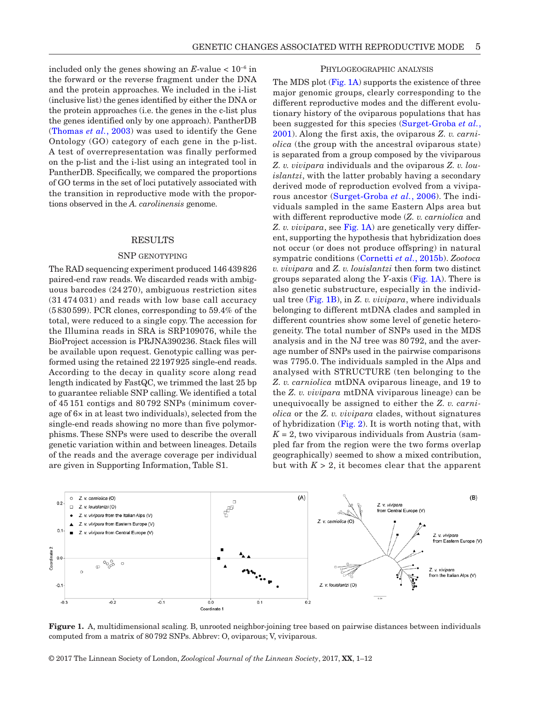included only the genes showing an  $E$ -value <  $10^{-6}$  in the forward or the reverse fragment under the DNA and the protein approaches. We included in the i-list (inclusive list) the genes identified by either the DNA or the protein approaches (i.e. the genes in the c-list plus the genes identified only by one approach). PantherDB ([Thomas](#page-11-7) *et al.*, 2003) was used to identify the Gene Ontology (GO) category of each gene in the p-list. A test of overrepresentation was finally performed on the p-list and the i-list using an integrated tool in PantherDB. Specifically, we compared the proportions of GO terms in the set of loci putatively associated with the transition in reproductive mode with the proportions observed in the *A. carolinensis* genome.

#### RESULTS

#### SNP genotyping

The RAD sequencing experiment produced 146439826 paired-end raw reads. We discarded reads with ambiguous barcodes (24 270), ambiguous restriction sites (31 474 031) and reads with low base call accuracy (5830599). PCR clones, corresponding to 59.4% of the total, were reduced to a single copy. The accession for the Illumina reads in SRA is SRP109076, while the BioProject accession is PRJNA390236. Stack files will be available upon request. Genotypic calling was performed using the retained 22197925 single-end reads. According to the decay in quality score along read length indicated by FastQC, we trimmed the last 25 bp to guarantee reliable SNP calling. We identified a total of 45 151 contigs and 80 792 SNPs (minimum coverage of 6× in at least two individuals), selected from the single-end reads showing no more than five polymorphisms. These SNPs were used to describe the overall genetic variation within and between lineages. Details of the reads and the average coverage per individual are given in Supporting Information, Table S1.

## Phylogeographic analysis

The MDS plot [\(Fig.](#page-4-0) 1A) supports the existence of three major genomic groups, clearly corresponding to the different reproductive modes and the different evolutionary history of the oviparous populations that has been suggested for this species ([Surget-Groba](#page-11-3) *et al.*, [2001](#page-11-3)). Along the first axis, the oviparous *Z. v. carniolica* (the group with the ancestral oviparous state) is separated from a group composed by the viviparous *Z. v. vivipara* individuals and the oviparous *Z. v. louislantzi*, with the latter probably having a secondary derived mode of reproduction evolved from a viviparous ancestor ([Surget-Groba](#page-10-4) *et al.*, 2006). The individuals sampled in the same Eastern Alps area but with different reproductive mode (*Z. v. carniolica* and *Z. v. vivipara*, see [Fig.](#page-4-0) 1A) are genetically very different, supporting the hypothesis that hybridization does not occur (or does not produce offspring) in natural sympatric conditions [\(Cornetti](#page-9-22) *et al.*, 2015b). *Zootoca v. vivipara* and *Z. v. louislantzi* then form two distinct groups separated along the *Y*-axis ([Fig.](#page-4-0) 1A). There is also genetic substructure, especially in the individual tree [\(Fig.](#page-4-0) 1B), in *Z. v. vivipara*, where individuals belonging to different mtDNA clades and sampled in different countries show some level of genetic heterogeneity. The total number of SNPs used in the MDS analysis and in the NJ tree was 80 792, and the average number of SNPs used in the pairwise comparisons was 7795.0. The individuals sampled in the Alps and analysed with STRUCTURE (ten belonging to the *Z. v. carniolica* mtDNA oviparous lineage, and 19 to the *Z. v. vivipara* mtDNA viviparous lineage) can be unequivocally be assigned to either the *Z. v. carniolica* or the *Z. v. vivipara* clades, without signatures of hybridization ([Fig.](#page-5-0) 2). It is worth noting that, with  $K = 2$ , two viviparous individuals from Austria (sampled far from the region were the two forms overlap geographically) seemed to show a mixed contribution, but with  $K > 2$ , it becomes clear that the apparent



<span id="page-4-0"></span>**Figure 1.** A, multidimensional scaling. B, unrooted neighbor-joining tree based on pairwise distances between individuals computed from a matrix of 80792 SNPs. Abbrev: O, oviparous; V, viviparous.

© 2017 The Linnean Society of London, *Zoological Journal of the Linnean Society*, 2017, **XX**, 1–12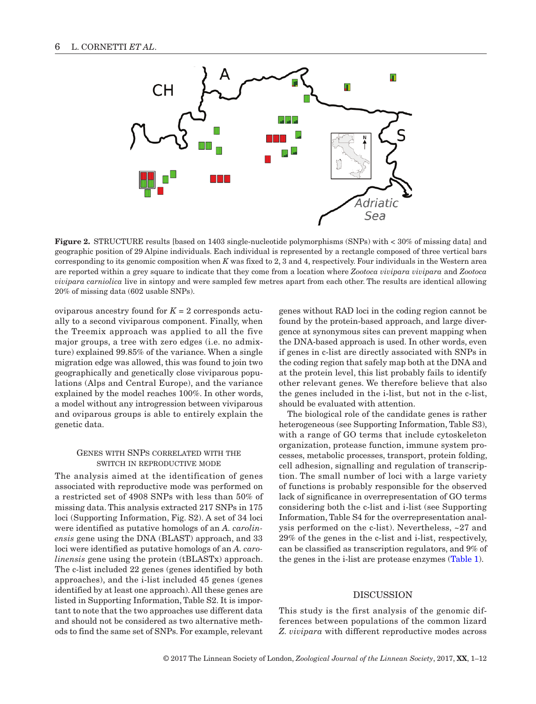

**Figure 2.** STRUCTURE results [based on 1403 single-nucleotide polymorphisms (SNPs) with < 30% of missing data] and geographic position of 29 Alpine individuals. Each individual is represented by a rectangle composed of three vertical bars corresponding to its genomic composition when *K* was fixed to 2, 3 and 4, respectively. Four individuals in the Western area are reported within a grey square to indicate that they come from a location where *Zootoca vivipara vivipara* and *Zootoca vivipara carniolica* live in sintopy and were sampled few metres apart from each other. The results are identical allowing 20% of missing data (602 usable SNPs).

oviparous ancestry found for  $K = 2$  corresponds actually to a second viviparous component. Finally, when the Treemix approach was applied to all the five major groups, a tree with zero edges (i.e. no admixture) explained 99.85% of the variance. When a single migration edge was allowed, this was found to join two geographically and genetically close viviparous populations (Alps and Central Europe), and the variance explained by the model reaches 100%. In other words, a model without any introgression between viviparous and oviparous groups is able to entirely explain the genetic data.

#### Genes with SNPs correlated with the switch in reproductive mode

The analysis aimed at the identification of genes associated with reproductive mode was performed on a restricted set of 4908 SNPs with less than 50% of missing data. This analysis extracted 217 SNPs in 175 loci (Supporting Information, Fig. S2). A set of 34 loci were identified as putative homologs of an *A. carolinensis* gene using the DNA (BLAST) approach, and 33 loci were identified as putative homologs of an *A. carolinensis* gene using the protein (tBLASTx) approach. The c-list included 22 genes (genes identified by both approaches), and the i-list included 45 genes (genes identified by at least one approach). All these genes are listed in Supporting Information, Table S2. It is important to note that the two approaches use different data and should not be considered as two alternative methods to find the same set of SNPs. For example, relevant <span id="page-5-0"></span>genes without RAD loci in the coding region cannot be found by the protein-based approach, and large divergence at synonymous sites can prevent mapping when the DNA-based approach is used. In other words, even if genes in c-list are directly associated with SNPs in the coding region that safely map both at the DNA and at the protein level, this list probably fails to identify other relevant genes. We therefore believe that also the genes included in the i-list, but not in the c-list, should be evaluated with attention.

The biological role of the candidate genes is rather heterogeneous (see Supporting Information, Table S3), with a range of GO terms that include cytoskeleton organization, protease function, immune system processes, metabolic processes, transport, protein folding, cell adhesion, signalling and regulation of transcription. The small number of loci with a large variety of functions is probably responsible for the observed lack of significance in overrepresentation of GO terms considering both the c-list and i-list (see Supporting Information, Table S4 for the overrepresentation analysis performed on the c-list). Nevertheless, ~27 and 29% of the genes in the c-list and i-list, respectively, can be classified as transcription regulators, and 9% of the genes in the i-list are protease enzymes ([Table](#page-6-0) 1).

## DISCUSSION

This study is the first analysis of the genomic differences between populations of the common lizard *Z. vivipara* with different reproductive modes across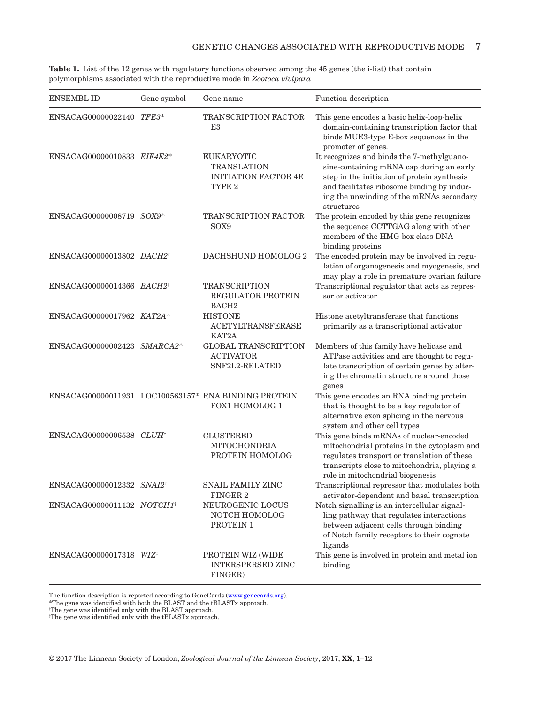| <b>ENSEMBL ID</b>                     | Gene symbol | Gene name                                                                                   | Function description                                                                                                                                                                                                                          |
|---------------------------------------|-------------|---------------------------------------------------------------------------------------------|-----------------------------------------------------------------------------------------------------------------------------------------------------------------------------------------------------------------------------------------------|
| ENSACAG00000022140 TFE3*              |             | TRANSCRIPTION FACTOR<br>E3                                                                  | This gene encodes a basic helix-loop-helix<br>domain-containing transcription factor that<br>binds MUE3-type E-box sequences in the<br>promoter of genes.                                                                                     |
| ENSACAG00000010833 EIF4E2*            |             | <b>EUKARYOTIC</b><br><b>TRANSLATION</b><br><b>INITIATION FACTOR 4E</b><br>TYPE <sub>2</sub> | It recognizes and binds the 7-methylguano-<br>sine-containing mRNA cap during an early<br>step in the initiation of protein synthesis<br>and facilitates ribosome binding by induc-<br>ing the unwinding of the mRNAs secondary<br>structures |
| ENSACAG00000008719 SOX9*              |             | <b>TRANSCRIPTION FACTOR</b><br>SOX9                                                         | The protein encoded by this gene recognizes<br>the sequence CCTTGAG along with other<br>members of the HMG-box class DNA-<br>binding proteins                                                                                                 |
| ENSACAG00000013802 DACH2 <sup>†</sup> |             | DACHSHUND HOMOLOG 2                                                                         | The encoded protein may be involved in regu-<br>lation of organogenesis and myogenesis, and<br>may play a role in premature ovarian failure                                                                                                   |
| ENSACAG00000014366 BACH2+             |             | <b>TRANSCRIPTION</b><br><b>REGULATOR PROTEIN</b><br>BACH <sub>2</sub>                       | Transcriptional regulator that acts as repres-<br>sor or activator                                                                                                                                                                            |
| ENSACAG00000017962 KAT2A*             |             | <b>HISTONE</b><br><b>ACETYLTRANSFERASE</b><br>KAT2A                                         | Histone acetyltransferase that functions<br>primarily as a transcriptional activator                                                                                                                                                          |
| ENSACAG00000002423 SMARCA2*           |             | <b>GLOBAL TRANSCRIPTION</b><br><b>ACTIVATOR</b><br>SNF2L2-RELATED                           | Members of this family have helicase and<br>ATPase activities and are thought to regu-<br>late transcription of certain genes by alter-<br>ing the chromatin structure around those<br>genes                                                  |
|                                       |             | ENSACAG00000011931 LOC100563157* RNA BINDING PROTEIN<br><b>FOX1 HOMOLOG 1</b>               | This gene encodes an RNA binding protein<br>that is thought to be a key regulator of<br>alternative exon splicing in the nervous<br>system and other cell types                                                                               |
| ENSACAG00000006538 CLUH <sup>+</sup>  |             | <b>CLUSTERED</b><br>MITOCHONDRIA<br>PROTEIN HOMOLOG                                         | This gene binds mRNAs of nuclear-encoded<br>mitochondrial proteins in the cytoplasm and<br>regulates transport or translation of these<br>transcripts close to mitochondria, playing a<br>role in mitochondrial biogenesis                    |
| ENSACAG00000012332 SNAI2 <sup>†</sup> |             | <b>SNAIL FAMILY ZINC</b><br>FINGER 2                                                        | Transcriptional repressor that modulates both<br>activator-dependent and basal transcription                                                                                                                                                  |
| ENSACAG00000011132 NOTCH1#            |             | NEUROGENIC LOCUS<br>NOTCH HOMOLOG<br>PROTEIN 1                                              | Notch signalling is an intercellular signal-<br>ling pathway that regulates interactions<br>between adjacent cells through binding<br>of Notch family receptors to their cognate<br>ligands                                                   |
| ENSACAG00000017318 WIZ <sup>#</sup>   |             | PROTEIN WIZ (WIDE<br><b>INTERSPERSED ZINC</b><br>FINGER)                                    | This gene is involved in protein and metal ion<br>binding                                                                                                                                                                                     |

<span id="page-6-0"></span>**Table 1.** List of the 12 genes with regulatory functions observed among the 45 genes (the i-list) that contain polymorphisms associated with the reproductive mode in *Zootoca vivipara*

The function description is reported according to GeneCards [\(www.genecards.org](http://www.genecards.org)).

\*The gene was identified with both the BLAST and the tBLASTx approach.

† The gene was identified only with the BLAST approach.

‡ The gene was identified only with the tBLASTx approach.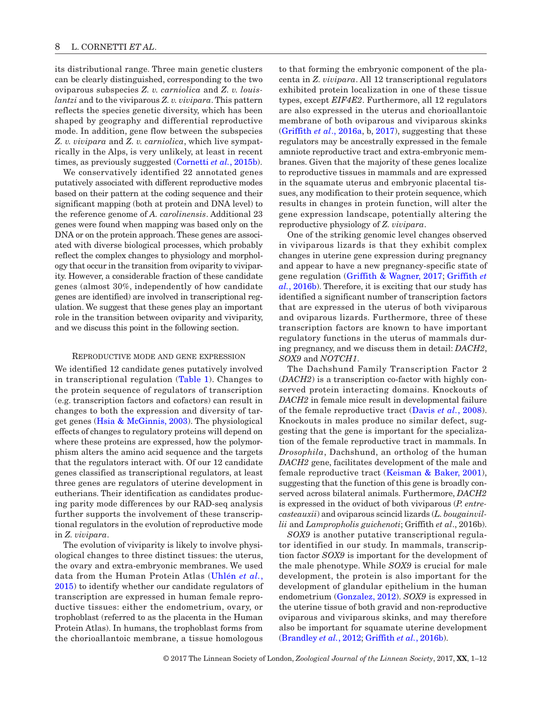its distributional range. Three main genetic clusters can be clearly distinguished, corresponding to the two oviparous subspecies *Z. v. carniolica* and *Z. v. louislantzi* and to the viviparous *Z. v. vivipara*. This pattern reflects the species genetic diversity, which has been shaped by geography and differential reproductive mode. In addition, gene flow between the subspecies *Z. v. vivipara* and *Z. v. carniolica*, which live sympatrically in the Alps, is very unlikely, at least in recent times, as previously suggested [\(Cornetti](#page-9-22) *et al.*, 2015b).

We conservatively identified 22 annotated genes putatively associated with different reproductive modes based on their pattern at the coding sequence and their significant mapping (both at protein and DNA level) to the reference genome of *A. carolinensis*. Additional 23 genes were found when mapping was based only on the DNA or on the protein approach. These genes are associated with diverse biological processes, which probably reflect the complex changes to physiology and morphology that occur in the transition from oviparity to viviparity. However, a considerable fraction of these candidate genes (almost 30%, independently of how candidate genes are identified) are involved in transcriptional regulation. We suggest that these genes play an important role in the transition between oviparity and viviparity, and we discuss this point in the following section.

#### Reproductive mode and gene expression

We identified 12 candidate genes putatively involved in transcriptional regulation ([Table](#page-6-0) 1). Changes to the protein sequence of regulators of transcription (e.g. transcription factors and cofactors) can result in changes to both the expression and diversity of target genes ([Hsia & McGinnis, 2003\)](#page-9-23). The physiological effects of changes to regulatory proteins will depend on where these proteins are expressed, how the polymorphism alters the amino acid sequence and the targets that the regulators interact with. Of our 12 candidate genes classified as transcriptional regulators, at least three genes are regulators of uterine development in eutherians. Their identification as candidates producing parity mode differences by our RAD-seq analysis further supports the involvement of these transcriptional regulators in the evolution of reproductive mode in *Z. vivipara*.

The evolution of viviparity is likely to involve physiological changes to three distinct tissues: the uterus, the ovary and extra-embryonic membranes. We used data from the Human Protein Atlas ([Uhlén](#page-11-8) *et al.*, [2015\)](#page-11-8) to identify whether our candidate regulators of transcription are expressed in human female reproductive tissues: either the endometrium, ovary, or trophoblast (referred to as the placenta in the Human Protein Atlas). In humans, the trophoblast forms from the chorioallantoic membrane, a tissue homologous to that forming the embryonic component of the placenta in *Z. vivipara*. All 12 transcriptional regulators exhibited protein localization in one of these tissue types, except *EIF4E2*. Furthermore, all 12 regulators are also expressed in the uterus and chorioallantoic membrane of both oviparous and viviparous skinks [\(Griffith](#page-9-24) *et al*., 2016a, b, [2017\)](#page-9-4), suggesting that these regulators may be ancestrally expressed in the female amniote reproductive tract and extra-embryonic membranes. Given that the majority of these genes localize to reproductive tissues in mammals and are expressed in the squamate uterus and embryonic placental tissues, any modification to their protein sequence, which results in changes in protein function, will alter the gene expression landscape, potentially altering the reproductive physiology of *Z. vivipara*.

One of the striking genomic level changes observed in viviparous lizards is that they exhibit complex changes in uterine gene expression during pregnancy and appear to have a new pregnancy-specific state of gene regulation [\(Griffith & Wagner, 2017;](#page-9-4) [Griffith](#page-9-10) *et al.*[, 2016b\)](#page-9-10). Therefore, it is exciting that our study has identified a significant number of transcription factors that are expressed in the uterus of both viviparous and oviparous lizards. Furthermore, three of these transcription factors are known to have important regulatory functions in the uterus of mammals during pregnancy, and we discuss them in detail: *DACH2*, *SOX9* and *NOTCH1*.

The Dachshund Family Transcription Factor 2 (*DACH2*) is a transcription co-factor with highly conserved protein interacting domains. Knockouts of *DACH2* in female mice result in developmental failure of the female reproductive tract ([Davis](#page-9-25) *et al.*, 2008). Knockouts in males produce no similar defect, suggesting that the gene is important for the specialization of the female reproductive tract in mammals. In *Drosophila*, Dachshund, an ortholog of the human *DACH2* gene, facilitates development of the male and female reproductive tract ([Keisman & Baker, 2001\)](#page-9-26), suggesting that the function of this gene is broadly conserved across bilateral animals. Furthermore, *DACH2* is expressed in the oviduct of both viviparous (*P. entrecasteauxii*) and oviparous scincid lizards (*L. bougainvillii* and *Lampropholis guichenoti*; Griffith *et al*., 2016b).

*SOX9* is another putative transcriptional regulator identified in our study. In mammals, transcription factor *SOX9* is important for the development of the male phenotype. While *SOX9* is crucial for male development, the protein is also important for the development of glandular epithelium in the human endometrium [\(Gonzalez, 2012](#page-9-27)). *SOX9* is expressed in the uterine tissue of both gravid and non-reproductive oviparous and viviparous skinks, and may therefore also be important for squamate uterine development [\(Brandley](#page-9-11) *et al.*, 2012; [Griffith](#page-9-10) *et al.*, 2016b).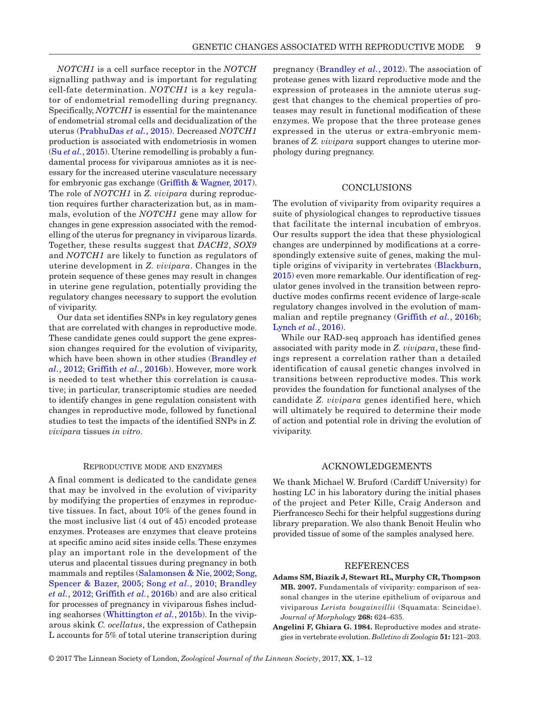*NOTCH1* is a cell surface receptor in the *NOTCH* signalling pathway and is important for regulating cell-fate determination. *NOTCH1* is a key regulator of endometrial remodelling during pregnancy. Specifically, *NOTCH1* is essential for the maintenance of endometrial stromal cells and decidualization of the uterus ([PrabhuDas](#page-10-17) *et al.*, 2015). Decreased *NOTCH1* production is associated with endometriosis in women (Su *et al.*[, 2015](#page-10-18)). Uterine remodelling is probably a fundamental process for viviparous amniotes as it is necessary for the increased uterine vasculature necessary for embryonic gas exchange ([Griffith & Wagner, 2017\)](#page-9-4). The role of *NOTCH1* in *Z. vivipara* during reproduction requires further characterization but, as in mammals, evolution of the *NOTCH1* gene may allow for changes in gene expression associated with the remodelling of the uterus for pregnancy in viviparous lizards. Together, these results suggest that *DACH2*, *SOX9* and *NOTCH1* are likely to function as regulators of uterine development in *Z. vivipara*. Changes in the protein sequence of these genes may result in changes in uterine gene regulation, potentially providing the regulatory changes necessary to support the evolution of viviparity.

Our data set identifies SNPs in key regulatory genes that are correlated with changes in reproductive mode. These candidate genes could support the gene expression changes required for the evolution of viviparity, which have been shown in other studies ([Brandley](#page-9-11) *et al.*[, 2012;](#page-9-11) [Griffith](#page-9-3) *et al.*, 2016b). However, more work is needed to test whether this correlation is causative; in particular, transcriptomic studies are needed to identify changes in gene regulation consistent with changes in reproductive mode, followed by functional studies to test the impacts of the identified SNPs in *Z. vivipara* tissues *in vitro*.

## Reproductive mode and enzymes

A final comment is dedicated to the candidate genes that may be involved in the evolution of viviparity by modifying the properties of enzymes in reproductive tissues. In fact, about 10% of the genes found in the most inclusive list (4 out of 45) encoded protease enzymes. Proteases are enzymes that cleave proteins at specific amino acid sites inside cells. These enzymes play an important role in the development of the uterus and placental tissues during pregnancy in both mammals and reptiles [\(Salamonsen & Nie, 2002;](#page-10-19) [Song,](#page-10-20) [Spencer & Bazer, 2005](#page-10-20); Song *et al.*[, 2010](#page-10-21); [Brandley](#page-9-11) *et al.*[, 2012](#page-9-11); [Griffith](#page-9-3) *et al.*, 2016b) and are also critical for processes of pregnancy in viviparous fishes including seahorses ([Whittington](#page-11-9) *et al.*, 2015b). In the viviparous skink *C. ocellatus*, the expression of Cathepsin L accounts for 5% of total uterine transcription during

pregnancy ([Brandley](#page-9-11) *et al.*, 2012). The association of protease genes with lizard reproductive mode and the expression of proteases in the amniote uterus suggest that changes to the chemical properties of proteases may result in functional modification of these enzymes. We propose that the three protease genes expressed in the uterus or extra-embryonic membranes of *Z. vivipara* support changes to uterine morphology during pregnancy.

#### CONCLUSIONS

The evolution of viviparity from oviparity requires a suite of physiological changes to reproductive tissues that facilitate the internal incubation of embryos. Our results support the idea that these physiological changes are underpinned by modifications at a correspondingly extensive suite of genes, making the multiple origins of viviparity in vertebrates ([Blackburn,](#page-9-2) [2015\)](#page-9-2) even more remarkable. Our identification of regulator genes involved in the transition between reproductive modes confirms recent evidence of large-scale regulatory changes involved in the evolution of mammalian and reptile pregnancy ([Griffith](#page-9-3) *et al.*, 2016b; [Lynch](#page-9-28) *et al.*, 2016).

While our RAD-seq approach has identified genes associated with parity mode in *Z. vivipara*, these findings represent a correlation rather than a detailed identification of causal genetic changes involved in transitions between reproductive modes. This work provides the foundation for functional analyses of the candidate *Z. vivipara* genes identified here, which will ultimately be required to determine their mode of action and potential role in driving the evolution of viviparity.

## ACKNOWLEDGEMENTS

We thank Michael W. Bruford (Cardiff University) for hosting LC in his laboratory during the initial phases of the project and Peter Kille, Craig Anderson and Pierfrancesco Sechi for their helpful suggestions during library preparation. We also thank Benoit Heulin who provided tissue of some of the samples analysed here.

## **REFERENCES**

- <span id="page-8-1"></span>**Adams SM, Biazik J, Stewart RL, Murphy CR, Thompson MB. 2007.** Fundamentals of viviparity: comparison of seasonal changes in the uterine epithelium of oviparous and viviparous *Lerista bougainvillii* (Squamata: Scincidae). *Journal of Morphology* **268:** 624–635.
- <span id="page-8-0"></span>**Angelini F, Ghiara G. 1984.** Reproductive modes and strategies in vertebrate evolution. *Bolletino di Zoologia* **51:** 121–203.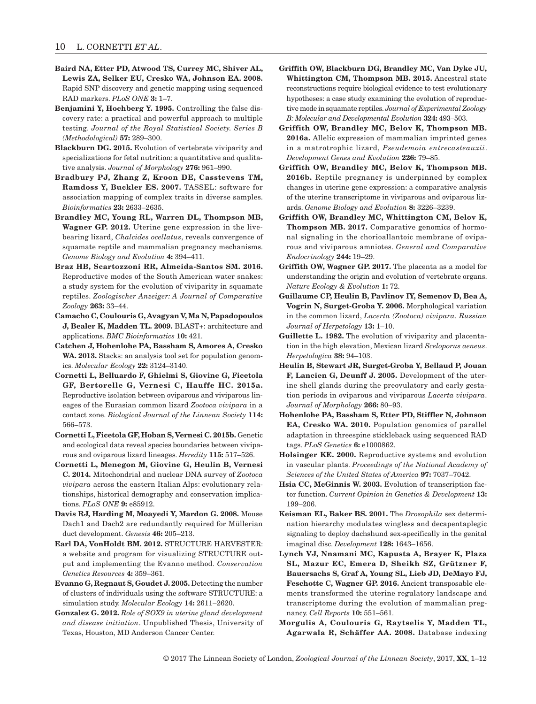- <span id="page-9-13"></span>**Baird NA, Etter PD, Atwood TS, Currey MC, Shiver AL, Lewis ZA, Selker EU, Cresko WA, Johnson EA. 2008.** Rapid SNP discovery and genetic mapping using sequenced RAD markers. *PLoS ONE* **3:** 1–7.
- <span id="page-9-16"></span>**Benjamini Y, Hochberg Y. 1995.** Controlling the false discovery rate: a practical and powerful approach to multiple testing. *Journal of the Royal Statistical Society. Series B (Methodological)* **57:** 289–300.
- <span id="page-9-2"></span>**Blackburn DG. 2015.** Evolution of vertebrate viviparity and specializations for fetal nutrition: a quantitative and qualitative analysis. *Journal of Morphology* **276:** 961–990.
- <span id="page-9-17"></span>**Bradbury PJ, Zhang Z, Kroon DE, Casstevens TM, Ramdoss Y, Buckler ES. 2007.** TASSEL: software for association mapping of complex traits in diverse samples. *Bioinformatics* **23:** 2633–2635.
- <span id="page-9-11"></span>**Brandley MC, Young RL, Warren DL, Thompson MB, Wagner GP. 2012.** Uterine gene expression in the livebearing lizard, *Chalcides ocellatus*, reveals convergence of squamate reptile and mammalian pregnancy mechanisms. *Genome Biology and Evolution* **4:** 394–411.
- <span id="page-9-6"></span>**Braz HB, Scartozzoni RR, Almeida-Santos SM. 2016.** Reproductive modes of the South American water snakes: a study system for the evolution of viviparity in squamate reptiles. *Zoologischer Anzeiger: A Journal of Comparative Zoology* **263:** 33–44.
- <span id="page-9-21"></span>**Camacho C, Coulouris G, Avagyan V, Ma N, Papadopoulos J, Bealer K, Madden TL. 2009.** BLAST+: architecture and applications. *BMC Bioinformatics* **10:** 421.
- <span id="page-9-14"></span>**Catchen J, Hohenlohe PA, Bassham S, Amores A, Cresko**  WA. 2013. Stacks: an analysis tool set for population genomics. *Molecular Ecology* **22:** 3124–3140.
- <span id="page-9-8"></span>**Cornetti L, Belluardo F, Ghielmi S, Giovine G, Ficetola GF, Bertorelle G, Vernesi C, Hauffe HC. 2015a.** Reproductive isolation between oviparous and viviparous lineages of the Eurasian common lizard *Zootoca vivipara* in a contact zone. *Biological Journal of the Linnean Society* **114:**  566–573.
- <span id="page-9-22"></span>**Cornetti L, Ficetola GF, Hoban S, Vernesi C. 2015b.** Genetic and ecological data reveal species boundaries between viviparous and oviparous lizard lineages. *Heredity* **115:** 517–526.
- <span id="page-9-9"></span>**Cornetti L, Menegon M, Giovine G, Heulin B, Vernesi C. 2014.** Mitochondrial and nuclear DNA survey of *Zootoca vivipara* across the eastern Italian Alps: evolutionary relationships, historical demography and conservation implications. *PLoS ONE* **9:** e85912.
- <span id="page-9-25"></span>**Davis RJ, Harding M, Moayedi Y, Mardon G. 2008.** Mouse Dach1 and Dach2 are redundantly required for Müllerian duct development. *Genesis* **46:** 205–213.
- <span id="page-9-19"></span>**Earl DA, VonHoldt BM. 2012.** STRUCTURE HARVESTER: a website and program for visualizing STRUCTURE output and implementing the Evanno method. *Conservation Genetics Resources* **4:** 359–361.
- <span id="page-9-18"></span>**Evanno G, Regnaut S, Goudet J. 2005.** Detecting the number of clusters of individuals using the software STRUCTURE: a simulation study. *Molecular Ecology* **14:** 2611–2620.
- <span id="page-9-27"></span>**Gonzalez G. 2012.** *Role of SOX9 in uterine gland development and disease initiation*. Unpublished Thesis, University of Texas, Houston, MD Anderson Cancer Center.
- <span id="page-9-7"></span>**Griffith OW, Blackburn DG, Brandley MC, Van Dyke JU, Whittington CM, Thompson MB. 2015.** Ancestral state reconstructions require biological evidence to test evolutionary hypotheses: a case study examining the evolution of reproductive mode in squamate reptiles. *Journal of Experimental Zoology B: Molecular and Developmental Evolution* **324:** 493–503.
- <span id="page-9-24"></span>**Griffith OW, Brandley MC, Belov K, Thompson MB. 2016a.** Allelic expression of mammalian imprinted genes in a matrotrophic lizard, *Pseudemoia entrecasteauxii*. *Development Genes and Evolution* **226:** 79–85.
- <span id="page-9-3"></span>**Griffith OW, Brandley MC, Belov K, Thompson MB. 2016b.** Reptile pregnancy is underpinned by complex changes in uterine gene expression: a comparative analysis of the uterine transcriptome in viviparous and oviparous lizards. *Genome Biology and Evolution* **8:** 3226–3239.
- <span id="page-9-10"></span>**Griffith OW, Brandley MC, Whittington CM, Belov K, Thompson MB. 2017.** Comparative genomics of hormonal signaling in the chorioallantoic membrane of oviparous and viviparous amniotes. *General and Comparative Endocrinology* **244:** 19–29.
- <span id="page-9-4"></span>**Griffith OW, Wagner GP. 2017.** The placenta as a model for understanding the origin and evolution of vertebrate organs. *Nature Ecology & Evolution* **1:** 72.
- <span id="page-9-12"></span>**Guillaume CP, Heulin B, Pavlinov IY, Semenov D, Bea A, Vogrin N, Surget-Groba Y. 2006.** Morphological variation in the common lizard, *Lacerta (Zootoca) vivipara*. *Russian Journal of Herpetology* **13:** 1–10.
- <span id="page-9-1"></span>**Guillette L. 1982.** The evolution of viviparity and placentation in the high elevation, Mexican lizard *Sceloporus aeneus*. *Herpetologica* **38:** 94–103.
- <span id="page-9-5"></span>**Heulin B, Stewart JR, Surget-Groba Y, Bellaud P, Jouan F, Lancien G, Deunff J. 2005.** Development of the uterine shell glands during the preovulatory and early gestation periods in oviparous and viviparous *Lacerta vivipara*. *Journal of Morphology* **266:** 80–93.
- <span id="page-9-15"></span>**Hohenlohe PA, Bassham S, Etter PD, Stiffler N, Johnson EA, Cresko WA. 2010.** Population genomics of parallel adaptation in threespine stickleback using sequenced RAD tags. *PLoS Genetics* **6:** e1000862.
- <span id="page-9-0"></span>**Holsinger KE. 2000.** Reproductive systems and evolution in vascular plants. *Proceedings of the National Academy of Sciences of the United States of America* **97:** 7037–7042.
- <span id="page-9-23"></span>**Hsia CC, McGinnis W. 2003.** Evolution of transcription factor function. *Current Opinion in Genetics & Development* **13:**  199–206.
- <span id="page-9-26"></span>**Keisman EL, Baker BS. 2001.** The *Drosophila* sex determination hierarchy modulates wingless and decapentaplegic signaling to deploy dachshund sex-specifically in the genital imaginal disc. *Development* **128:** 1643–1656.
- <span id="page-9-28"></span>**Lynch VJ, Nnamani MC, Kapusta A, Brayer K, Plaza SL, Mazur EC, Emera D, Sheikh SZ, Grützner F, Bauersachs S, Graf A, Young SL, Lieb JD, DeMayo FJ, Feschotte C, Wagner GP. 2016.** Ancient transposable elements transformed the uterine regulatory landscape and transcriptome during the evolution of mammalian pregnancy. *Cell Reports* **10:** 551–561.
- <span id="page-9-20"></span>**Morgulis A, Coulouris G, Raytselis Y, Madden TL, Agarwala R, Schäffer AA. 2008.** Database indexing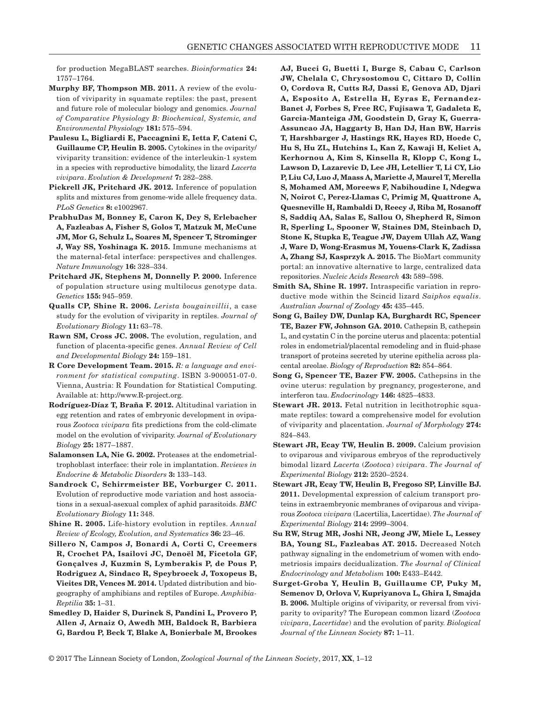for production MegaBLAST searches. *Bioinformatics* **24:**  1757–1764.

- <span id="page-10-1"></span>**Murphy BF, Thompson MB. 2011.** A review of the evolution of viviparity in squamate reptiles: the past, present and future role of molecular biology and genomics. *Journal of Comparative Physiology B: Biochemical, Systemic, and Environmental Physiology* **181:** 575–594.
- <span id="page-10-12"></span>**Paulesu L, Bigliardi E, Paccagnini E, Ietta F, Cateni C, Guillaume CP, Heulin B. 2005.** Cytokines in the oviparity/ viviparity transition: evidence of the interleukin-1 system in a species with reproductive bimodality, the lizard *Lacerta vivipara*. *Evolution & Development* **7:** 282–288.
- <span id="page-10-15"></span>**Pickrell JK, Pritchard JK. 2012.** Inference of population splits and mixtures from genome-wide allele frequency data. *PLoS Genetics* **8:** e1002967.
- <span id="page-10-17"></span>**PrabhuDas M, Bonney E, Caron K, Dey S, Erlebacher A, Fazleabas A, Fisher S, Golos T, Matzuk M, McCune JM, Mor G, Schulz L, Soares M, Spencer T, Strominger J, Way SS, Yoshinaga K. 2015.** Immune mechanisms at the maternal-fetal interface: perspectives and challenges. *Nature Immunology* **16:** 328–334.
- <span id="page-10-14"></span>**Pritchard JK, Stephens M, Donnelly P. 2000.** Inference of population structure using multilocus genotype data. *Genetics* **155:** 945–959.
- <span id="page-10-3"></span>**Qualls CP, Shine R. 2006.** *Lerista bougainvillii*, a case study for the evolution of viviparity in reptiles. *Journal of Evolutionary Biology* **11:** 63–78.
- <span id="page-10-11"></span>**Rawn SM, Cross JC. 2008.** The evolution, regulation, and function of placenta-specific genes. *Annual Review of Cell and Developmental Biology* **24:** 159–181.
- <span id="page-10-13"></span>**R Core Development Team. 2015.** *R: a language and environment for statistical computing*. ISBN 3-900051-07-0. Vienna, Austria: R Foundation for Statistical Computing. Available at: http://www.R-project.org.
- <span id="page-10-7"></span>**Rodríguez-Díaz T, Braña F. 2012.** Altitudinal variation in egg retention and rates of embryonic development in oviparous *Zootoca vivipara* fits predictions from the cold-climate model on the evolution of viviparity. *Journal of Evolutionary Biology* **25:** 1877–1887.
- <span id="page-10-19"></span>**Salamonsen LA, Nie G. 2002.** Proteases at the endometrialtrophoblast interface: their role in implantation. *Reviews in Endocrine & Metabolic Disorders* **3:** 133–143.
- <span id="page-10-0"></span>**Sandrock C, Schirrmeister BE, Vorburger C. 2011.** Evolution of reproductive mode variation and host associations in a sexual-asexual complex of aphid parasitoids. *BMC Evolutionary Biology* **11:** 348.
- <span id="page-10-6"></span>**Shine R. 2005.** Life-history evolution in reptiles. *Annual Review of Ecology, Evolution, and Systematics* **36:** 23–46.
- <span id="page-10-5"></span>**Sillero N, Campos J, Bonardi A, Corti C, Creemers R, Crochet PA, Isailovi JC, Denoël M, Ficetola GF, Gonçalves J, Kuzmin S, Lymberakis P, de Pous P, Rodriguez A, Sindaco R, Speybroeck J, Toxopeus B, Vieites DR, Vences M. 2014.** Updated distribution and biogeography of amphibians and reptiles of Europe. *Amphibia-Reptilia* **35:** 1–31.

<span id="page-10-16"></span>**Smedley D, Haider S, Durinck S, Pandini L, Provero P, Allen J, Arnaiz O, Awedh MH, Baldock R, Barbiera G, Bardou P, Beck T, Blake A, Bonierbale M, Brookes**  **AJ, Bucci G, Buetti I, Burge S, Cabau C, Carlson JW, Chelala C, Chrysostomou C, Cittaro D, Collin O, Cordova R, Cutts RJ, Dassi E, Genova AD, Djari A, Esposito A, Estrella H, Eyras E, Fernandez-Banet J, Forbes S, Free RC, Fujisawa T, Gadaleta E, Garcia-Manteiga JM, Goodstein D, Gray K, Guerra-Assuncao JA, Haggarty B, Han DJ, Han BW, Harris T, Harshbarger J, Hastings RK, Hayes RD, Hoede C, Hu S, Hu ZL, Hutchins L, Kan Z, Kawaji H, Keliet A, Kerhornou A, Kim S, Kinsella R, Klopp C, Kong L, Lawson D, Lazarevic D, Lee JH, Letellier T, Li CY, Lio P, Liu CJ, Luo J, Maass A, Mariette J, Maurel T, Merella S, Mohamed AM, Moreews F, Nabihoudine I, Ndegwa N, Noirot C, Perez-Llamas C, Primig M, Quattrone A, Quesneville H, Rambaldi D, Reecy J, Riba M, Rosanoff S, Saddiq AA, Salas E, Sallou O, Shepherd R, Simon R, Sperling L, Spooner W, Staines DM, Steinbach D, Stone K, Stupka E, Teague JW, Dayem Ullah AZ, Wang J, Ware D, Wong-Erasmus M, Youens-Clark K, Zadissa A, Zhang SJ, Kasprzyk A. 2015.** The BioMart community portal: an innovative alternative to large, centralized data repositories. *Nucleic Acids Research* **43:** 589–598.

- <span id="page-10-2"></span>**Smith SA, Shine R. 1997.** Intraspecific variation in reproductive mode within the Scincid lizard *Saiphos equalis*. *Australian Journal of Zoology* **45:** 435–445.
- <span id="page-10-21"></span>**Song G, Bailey DW, Dunlap KA, Burghardt RC, Spencer TE, Bazer FW, Johnson GA. 2010.** Cathepsin B, cathepsin L, and cystatin C in the porcine uterus and placenta: potential roles in endometrial/placental remodeling and in fluid-phase transport of proteins secreted by uterine epithelia across placental areolae. *Biology of Reproduction* **82:** 854–864.
- <span id="page-10-20"></span>**Song G, Spencer TE, Bazer FW. 2005.** Cathepsins in the ovine uterus: regulation by pregnancy, progesterone, and interferon tau. *Endocrinology* **146:** 4825–4833.
- <span id="page-10-10"></span>**Stewart JR. 2013.** Fetal nutrition in lecithotrophic squamate reptiles: toward a comprehensive model for evolution of viviparity and placentation. *Journal of Morphology* **274:**  824–843.
- <span id="page-10-8"></span>**Stewart JR, Ecay TW, Heulin B. 2009.** Calcium provision to oviparous and viviparous embryos of the reproductively bimodal lizard *Lacerta* (*Zootoca*) *vivipara*. *The Journal of Experimental Biology* **212:** 2520–2524.
- <span id="page-10-9"></span>**Stewart JR, Ecay TW, Heulin B, Fregoso SP, Linville BJ. 2011.** Developmental expression of calcium transport proteins in extraembryonic membranes of oviparous and viviparous *Zootoca vivipara* (Lacertilia, Lacertidae). *The Journal of Experimental Biology* **214:** 2999–3004.
- <span id="page-10-18"></span>**Su RW, Strug MR, Joshi NR, Jeong JW, Miele L, Lessey BA, Young SL, Fazleabas AT. 2015.** Decreased Notch pathway signaling in the endometrium of women with endometriosis impairs decidualization. *The Journal of Clinical Endocrinology and Metabolism* **100:** E433–E442.
- <span id="page-10-4"></span>**Surget-Groba Y, Heulin B, Guillaume CP, Puky M, Semenov D, Orlova V, Kupriyanova L, Ghira I, Smajda B. 2006.** Multiple origins of viviparity, or reversal from viviparity to oviparity? The European common lizard (*Zootoca vivipara*, *Lacertidae*) and the evolution of parity. *Biological Journal of the Linnean Society* **87:** 1–11.